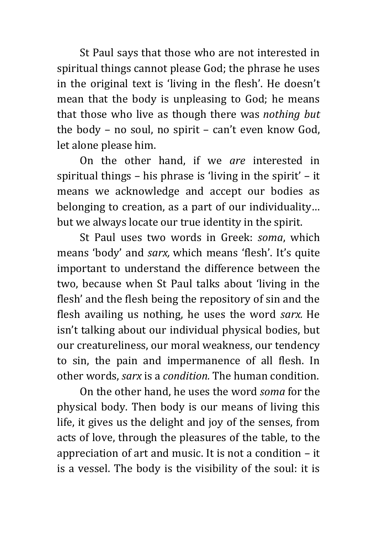St Paul says that those who are not interested in spiritual things cannot please God; the phrase he uses in the original text is 'living in the flesh'. He doesn't mean that the body is unpleasing to God; he means that those who live as though there was *nothing but* the body – no soul, no spirit – can't even know God, let alone please him.

On the other hand, if we *are* interested in spiritual things – his phrase is 'living in the spirit' – it means we acknowledge and accept our bodies as belonging to creation, as a part of our individuality… but we always locate our true identity in the spirit.

St Paul uses two words in Greek: *soma*, which means 'body' and *sarx,* which means 'flesh'. It's quite important to understand the difference between the two, because when St Paul talks about 'living in the flesh' and the flesh being the repository of sin and the flesh availing us nothing, he uses the word *sarx.* He isn't talking about our individual physical bodies, but our creatureliness, our moral weakness, our tendency to sin, the pain and impermanence of all flesh. In other words, *sarx* is a *condition.* The human condition.

On the other hand, he uses the word *soma* for the physical body. Then body is our means of living this life, it gives us the delight and joy of the senses, from acts of love, through the pleasures of the table, to the appreciation of art and music. It is not a condition – it is a vessel. The body is the visibility of the soul: it is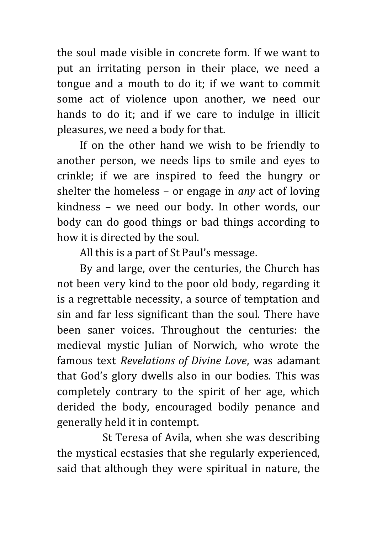the soul made visible in concrete form. If we want to put an irritating person in their place, we need a tongue and a mouth to do it; if we want to commit some act of violence upon another, we need our hands to do it; and if we care to indulge in illicit pleasures, we need a body for that.

If on the other hand we wish to be friendly to another person, we needs lips to smile and eyes to crinkle; if we are inspired to feed the hungry or shelter the homeless – or engage in *any* act of loving kindness – we need our body. In other words, our body can do good things or bad things according to how it is directed by the soul.

All this is a part of St Paul's message.

By and large, over the centuries, the Church has not been very kind to the poor old body, regarding it is a regrettable necessity, a source of temptation and sin and far less significant than the soul. There have been saner voices. Throughout the centuries: the medieval mystic Julian of Norwich, who wrote the famous text *Revelations of Divine Love*, was adamant that God's glory dwells also in our bodies. This was completely contrary to the spirit of her age, which derided the body, encouraged bodily penance and generally held it in contempt.

St Teresa of Avila, when she was describing the mystical ecstasies that she regularly experienced, said that although they were spiritual in nature, the